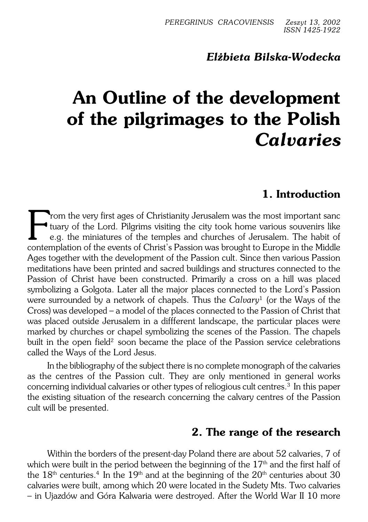## *Elżbieta Bilska−Wodecka*

# **An Outline of the development of the pilgrimages to the Polish** *Calvaries*

# **1. Introduction**

From the very first ages of Christianity Jerusalem was the most important sance tuary of the Lord. Pilgrims visiting the city took home various souvenirs like e.g. the miniatures of the temples and churches of Jerusalem. T rom the very first ages of Christianity Jerusalem was the most important sanc tuary of the Lord. Pilgrims visiting the city took home various souvenirs like e.g. the miniatures of the temples and churches of Jerusalem. The habit of Ages together with the development of the Passion cult. Since then various Passion meditations have been printed and sacred buildings and structures connected to the Passion of Christ have been constructed. Primarily a cross on a hill was placed symbolizing a Golgota. Later all the major places connected to the Lord's Passion were surrounded by a network of chapels. Thus the *Calvary*<sup>1</sup> (or the Ways of the Cross) was developed – a model of the places connected to the Passion of Christ that was placed outside Jerusalem in a diffferent landscape, the particular places were marked by churches or chapel symbolizing the scenes of the Passion. The chapels built in the open field<sup>2</sup> soon became the place of the Passion service celebrations called the Ways of the Lord Jesus.

In the bibliography of the subject there is no complete monograph of the calvaries as the centres of the Passion cult. They are only mentioned in general works concerning individual calvaries or other types of reliogious cult centres.<sup>3</sup> In this paper the existing situation of the research concerning the calvary centres of the Passion cult will be presented.

## **2. The range of the research**

Within the borders of the present−day Poland there are about 52 calvaries, 7 of which were built in the period between the beginning of the  $17<sup>th</sup>$  and the first half of the  $18^{\rm th}$  centuries. $^4$  In the  $19^{\rm th}$  and at the beginning of the  $20^{\rm th}$  centuries about  $30$ calvaries were built, among which 20 were located in the Sudety Mts. Two calvaries – in Ujazdów and Góra Kalwaria were destroyed. After the World War II 10 more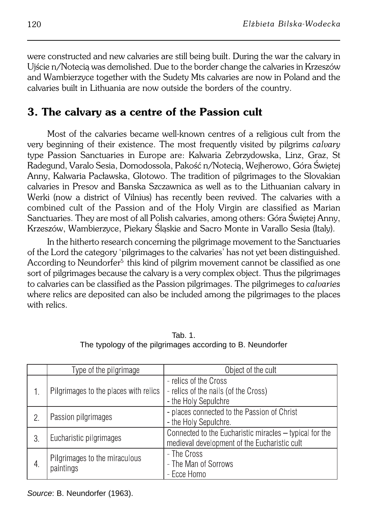were constructed and new calvaries are still being built. During the war the calvary in Ujście n/Notecią was demolished. Due to the border change the calvaries in Krzeszów and Wambierzyce together with the Sudety Mts calvaries are now in Poland and the calvaries built in Lithuania are now outside the borders of the country.

# **3. The calvary as a centre of the Passion cult**

Most of the calvaries became well−known centres of a religious cult from the very beginning of their existence. The most frequently visited by pilgrims *calvary* type Passion Sanctuaries in Europe are: Kalwaria Zebrzydowska, Linz, Graz, St Radegund, Varalo Sesia, Domodossola, Pakość n/Notecią, Wejherowo, Góra Świętej Anny, Kalwaria Pacławska, Glotowo. The tradition of pilgrimages to the Slovakian calvaries in Presov and Banska Szczawnica as well as to the Lithuanian calvary in Werki (now a district of Vilnius) has recently been revived. The calvaries with a combined cult of the Passion and of the Holy Virgin are classified as Marian Sanctuaries. They are most of all Polish calvaries, among others: Góra Świętej Anny, Krzeszów, Wambierzyce, Piekary Śląskie and Sacro Monte in Varallo Sesia (Italy).

In the hitherto research concerning the pilgrimage movement to the Sanctuaries of the Lord the category 'pilgrimages to the calvaries' has not yet been distinguished. According to Neundorfer<sup>5</sup> this kind of pilgrim movement cannot be classified as one sort of pilgrimages because the calvary is a very complex object. Thus the pilgrimages to calvaries can be classified as the Passion pilgrimages. The pilgrimeges to *calvaries* where relics are deposited can also be included among the pilgrimages to the places with relics.

|    | Type of the pilgrimage                     | Object of the cult                                                                                      |
|----|--------------------------------------------|---------------------------------------------------------------------------------------------------------|
|    | Pilgrimages to the places with relics      | - relics of the Cross<br>- relics of the nails (of the Cross)<br>- the Holy Sepulchre                   |
| 2. | Passion pilgrimages                        | - places connected to the Passion of Christ<br>- the Holy Sepulchre.                                    |
| 3. | Eucharistic pilgrimages                    | Connected to the Eucharistic miracles - typical for the<br>medieval development of the Eucharistic cult |
| 4. | Pilgrimages to the miraculous<br>paintings | - The Cross<br>- The Man of Sorrows<br>- Ecce Homo                                                      |

Tab. 1. The typology of the pilgrimages according to B. Neundorfer

Source: B. Neundorfer (1963).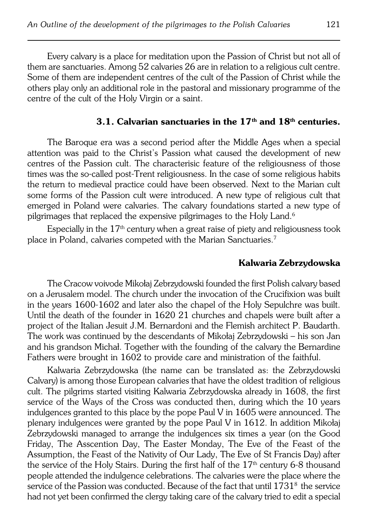Every calvary is a place for meditation upon the Passion of Christ but not all of them are sanctuaries. Among 52 calvaries 26 are in relation to a religious cult centre. Some of them are independent centres of the cult of the Passion of Christ while the others play only an additional role in the pastoral and missionary programme of the centre of the cult of the Holy Virgin or a saint.

# **3.1. Calvarian sanctuaries in the 17th and 18th centuries.**

The Baroque era was a second period after the Middle Ages when a special attention was paid to the Christ's Passion what caused the development of new centres of the Passion cult. The characterisic feature of the religiousness of those times was the so−called post−Trent religiousness. In the case of some religious habits the return to medieval practice could have been observed. Next to the Marian cult some forms of the Passion cult were introduced. A new type of religious cult that emerged in Poland were calvaries. The calvary foundations started a new type of pilgrimages that replaced the expensive pilgrimages to the Holy Land.<sup>6</sup>

Especially in the  $17<sup>th</sup>$  century when a great raise of piety and religiousness took place in Poland, calvaries competed with the Marian Sanctuaries.<sup>7</sup>

## **Kalwaria Zebrzydowska**

The Cracow voivode Mikołaj Zebrzydowski founded the first Polish calvary based on a Jerusalem model. The church under the invocation of the Crucifixion was built in the years 1600−1602 and later also the chapel of the Holy Sepulchre was built. Until the death of the founder in 1620 21 churches and chapels were built after a project of the Italian Jesuit J.M. Bernardoni and the Flemish architect P.Baudarth. The work was continued by the descendants of Mikołaj Zebrzydowski – his son Jan and his grandson Michał. Together with the founding of the calvary the Bernardine Fathers were brought in 1602 to provide care and ministration of the faithful.

Kalwaria Zebrzydowska (the name can be translated as: the Zebrzydowski Calvary) is among those European calvaries that have the oldest tradition of religious cult. The pilgrims started visiting Kalwaria Zebrzydowska already in 1608, the first service of the Ways of the Cross was conducted then, during which the 10 years indulgences granted to this place by the pope Paul V in 1605 were announced. The plenary indulgences were granted by the pope Paul V in 1612. In addition Mikołaj Zebrzydowski managed to arrange the indulgences six times a year (on the Good Friday, The Asscention Day, The Easter Monday, The Eve of the Feast of the Assumption, the Feast of the Nativity of Our Lady, The Eve of St Francis Day) after the service of the Holy Stairs. During the first half of the 17<sup>th</sup> century 6-8 thousand people attended the indulgence celebrations. The calvaries were the place where the service of the Passion was conducted. Because of the fact that until  $1731^{\rm s}$  the service had not yet been confirmed the clergy taking care of the calvary tried to edit a special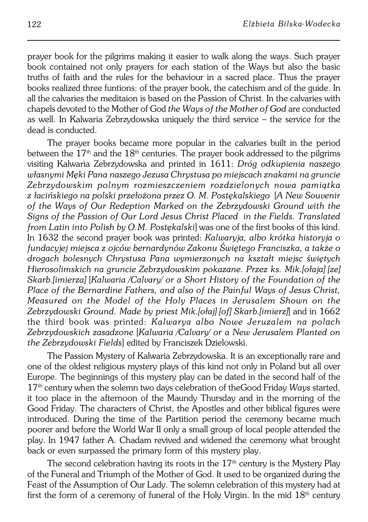prayer book for the pilgrims making it easier to walk along the ways. Such prayer book contained not only prayers for each station of the Ways but also the basic truths of faith and the rules for the behaviour in a sacred place. Thus the prayer books realized three funtions: of the prayer book, the catechism and of the guide. In all the calvaries the meditaion is based on the Passion of Christ. In the calvaries with chapels devoted to the Mother of God *the Ways of the Mother of God* are conducted as well. In Kalwaria Zebrzydowska uniquely the third service – the service for the dead is conducted.

The prayer books became more popular in the calvaries built in the period between the  $17<sup>th</sup>$  and the  $18<sup>th</sup>$  centuries. The prayer book addressed to the pilgrims visiting Kalwaria Zebrzydowska and printed in 1611: *Dróg odkupienia naszego własnymi Męki Pana naszego Jezusa Chrystusa po miejscach znakami na gruncie Zebrzydowskim polnym rozmieszczeniem rozdzielonych nowa pamiątka złacińskiego na polski przełożona przez O. M. Postękalskiego* [*A New Souvenir of the Ways of Our Redeption Marked on the Zebrzydowski Ground with the Signs of the Passion of Our Lord Jesus Christ Placed in the Fields. Translated from Latin into Polish by O.M. Postękalski*] was one of the first books of this kind. In 1632 the second prayer book was printed: *Kalwaryja, albo krótka historyja o fundacyjej miejsca z ojców bernardynów Zakonu Świętego Franciszka, a także o drogach bolesnych Chrystusa Pana wymierzonych na kształt miejsc świętych Hierosolimskich na gruncie Zebrzydowskim pokazane. Przez ks. Mik.[ołaja] [ze] Skarb.[imierza]* [*Kalwaria /Calvary/ or a Short History of the Foundation of the Place of the Bernardine Fathers, and also of the Painful Ways of Jesus Christ, Measured on the Model of the Holy Places in Jerusalem Shown on the Zebrzydowski Ground. Made by priest Mik.[ołaj] [of] Skarb.[imierz]*] and in 1662 the third book was printed: *Kalwarya albo Nowe Jeruzalem na polach Zebrzydowskich zasadzone* [*Kalwaria /Calvary/ or a New Jerusalem Planted on the Zebrzydowski Fields*] edited by Franciszek Dzielowski.

The Passion Mystery of Kalwaria Zebrzydowska. It is an exceptionally rare and one of the oldest religious mystery plays of this kind not only in Poland but all over Europe. The beginnings of this mystery play can be dated in the second half of the 17<sup>th</sup> century when the solemn two days celebration of theGood Friday *Ways* started, it too place in the afternoon of the Maundy Thursday and in the morning of the Good Friday. The characters of Christ, the Apostles and other biblical figures were introduced. During the time of the Partition period the ceremony became much poorer and before the World War II only a small group of local people attended the play. In 1947 father A. Chadam revived and widened the ceremony what brought back or even surpassed the primary form of this mystery play.

The second celebration having its roots in the  $17<sup>th</sup>$  century is the Mystery Play of the Funeral and Triumph of the Mother of God. It used to be organized during the Feast of the Assumption of Our Lady. The solemn celebration of this mystery had at first the form of a ceremony of funeral of the Holy Virgin. In the mid  $18<sup>th</sup>$  century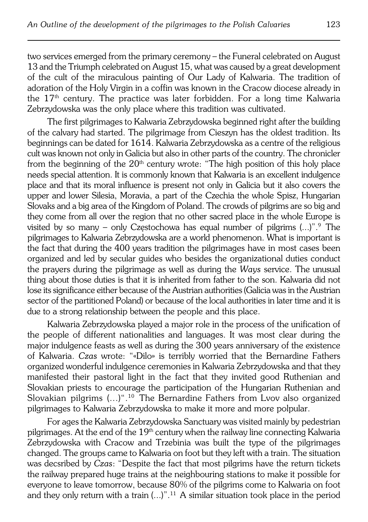two services emerged from the primary ceremony – the Funeral celebrated on August 13 and the Triumph celebrated on August 15, what was caused by a great development of the cult of the miraculous painting of Our Lady of Kalwaria. The tradition of adoration of the Holy Virgin in a coffin was known in the Cracow diocese already in the  $17<sup>th</sup>$  century. The practice was later forbidden. For a long time Kalwaria Zebrzydowska was the only place where this tradition was cultivated.

The first pilgrimages to Kalwaria Zebrzydowska beginned right after the building of the calvary had started. The pilgrimage from Cieszyn has the oldest tradition. Its beginnings can be dated for 1614. Kalwaria Zebrzydowska as a centre of the religious cult was known not only in Galicia but also in other parts of the country. The chronicler from the beginning of the  $20<sup>th</sup>$  century wrote: "The high position of this holy place needs special attention. It is commonly known that Kalwaria is an excellent indulgence place and that its moral influence is present not only in Galicia but it also covers the upper and lower Silesia, Moravia, a part of the Czechia the whole Spisz, Hungarian Slovaks and a big area of the Kingdom of Poland. The crowds of pilgrims are so big and they come from all over the region that no other sacred place in the whole Europe is visited by so many – only Częstochowa has equal number of pilgrims (...)".<sup>9</sup> The pilgrimages to Kalwaria Zebrzydowska are a world phenomenon. What is important is the fact that during the 400 years tradition the pilgrimages have in most cases been organized and led by secular guides who besides the organizational duties conduct the prayers during the pilgrimage as well as during the *Ways* service. The unusual thing about those duties is that it is inherited from father to the son. Kalwaria did not lose its significance either because of the Austrian authorities (Galicia was in the Austrian sector of the partitioned Poland) or because of the local authorities in later time and it is due to a strong relationship between the people and this place.

Kalwaria Zebrzydowska played a major role in the process of the unification of the people of different nationalities and languages. It was most clear during the major indulgence feasts as well as during the 300 years anniversary of the existence of Kalwaria. *Czas* wrote: "«Dilo» is terribly worried that the Bernardine Fathers organized wonderful indulgence ceremonies in Kalwaria Zebrzydowska and that they manifested their pastoral light in the fact that they invited good Ruthenian and Slovakian priests to encourage the participation of the Hungarian Ruthenian and Slovakian pilgrims (...)".10 The Bernardine Fathers from Lvov also organized pilgrimages to Kalwaria Zebrzydowska to make it more and more polpular.

For ages the Kalwaria Zebrzydowska Sanctuary was visited mainly by pedestrian pilgrimages. At the end of the 19<sup>th</sup> century when the railway line connecting Kalwaria Zebrzydowska with Cracow and Trzebinia was built the type of the pilgrimages changed. The groups came to Kalwaria on foot but they left with a train. The situation was decsribed by *Czas*: "Despite the fact that most pilgrims have the return tickets the railway prepared huge trains at the neighbouring stations to make it possible for everyone to leave tomorrow, because 80% of the pilgrims come to Kalwaria on foot and they only return with a train (...)".11 A similar situation took place in the period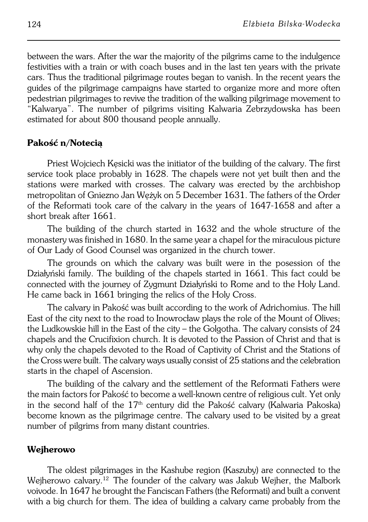between the wars. After the war the majority of the pilgrims came to the indulgence festivities with a train or with coach buses and in the last ten years with the private cars. Thus the traditional pilgrimage routes began to vanish. In the recent years the guides of the pilgrimage campaigns have started to organize more and more often pedestrian pilgrimages to revive the tradition of the walking pilgrimage movement to "Kalwarya". The number of pilgrims visiting Kalwaria Zebrzydowska has been estimated for about 800 thousand people annually.

## **Pakość n/Notecią**

Priest Wojciech Kęsicki was the initiator of the building of the calvary. The first service took place probably in 1628. The chapels were not yet built then and the stations were marked with crosses. The calvary was erected by the archbishop metropolitan of Gniezno Jan Wężyk on 5 December 1631. The fathers of the Order of the Reformati took care of the calvary in the years of 1647−1658 and after a short break after 1661.

The building of the church started in 1632 and the whole structure of the monastery was finished in 1680. In the same year a chapel for the miraculous picture of Our Lady of Good Counsel was organized in the church tower.

The grounds on which the calvary was built were in the posession of the Działyński family. The building of the chapels started in 1661. This fact could be connected with the journey of Zygmunt Działyński to Rome and to the Holy Land. He came back in 1661 bringing the relics of the Holy Cross.

The calvary in Pakość was built according to the work of Adrichomius. The hill East of the city next to the road to Inowrocław plays the role of the Mount of Olives; the Ludkowskie hill in the East of the city – the Golgotha. The calvary consists of 24 chapels and the Crucifixion church. It is devoted to the Passion of Christ and that is why only the chapels devoted to the Road of Captivity of Christ and the Stations of the Cross were built. The calvary ways usually consist of 25 stations and the celebration starts in the chapel of Ascension.

The building of the calvary and the settlement of the Reformati Fathers were the main factors for Pakość to become a well−known centre of religious cult. Yet only in the second half of the  $17<sup>th</sup>$  century did the Pakość calvary (Kalwaria Pakoska) become known as the pilgrimage centre. The calvary used to be visited by a great number of pilgrims from many distant countries.

## **Wejherowo**

The oldest pilgrimages in the Kashube region (Kaszuby) are connected to the Weiherowo calvary.<sup>12</sup> The founder of the calvary was Jakub Weiher, the Malbork voivode. In 1647 he brought the Fanciscan Fathers (the Reformati) and built a convent with a big church for them. The idea of building a calvary came probably from the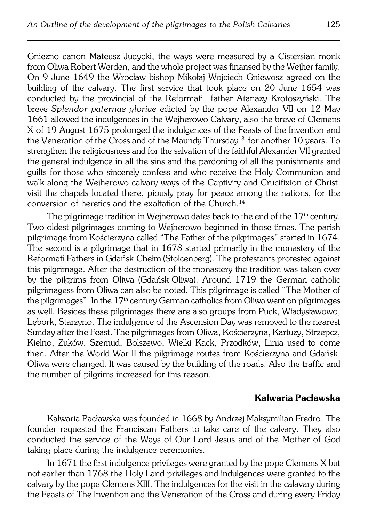Gniezno canon Mateusz Judycki, the ways were measured by a Cistersian monk from Oliwa Robert Werden, and the whole project was finansed by the Wejher family. On 9 June 1649 the Wrocław bishop Mikołaj Wojciech Gniewosz agreed on the building of the calvary. The first service that took place on 20 June 1654 was conducted by the provincial of the Reformati father Atanazy Krotoszyński. The breve *Splendor paternae gloriae* edicted by the pope Alexander VII on 12 May 1661 allowed the indulgences in the Wejherowo Calvary, also the breve of Clemens X of 19 August 1675 prolonged the indulgences of the Feasts of the Invention and the Veneration of the Cross and of the Maundy Thursday<sup>13</sup> for another 10 years. To strengthen the religiousness and for the salvation of the faithful Alexander VII granted the general indulgence in all the sins and the pardoning of all the punishments and guilts for those who sincerely confess and who receive the Holy Communion and walk along the Wejherowo calvary ways of the Captivity and Crucifixion of Christ, visit the chapels located there, piously pray for peace among the nations, for the conversion of heretics and the exaltation of the Church.<sup>14</sup>

The pilgrimage tradition in Wejherowo dates back to the end of the  $17<sup>th</sup>$  century. Two oldest pilgrimages coming to Wejherowo beginned in those times. The parish pilgrimage from Kościerzyna called "The Father of the pilgrimages" started in 1674. The second is a pilgrimage that in 1678 started primarily in the monastery of the Reformati Fathers in Gdańsk−Chełm (Stolcenberg). The protestants protested against this pilgrimage. After the destruction of the monastery the tradition was taken over by the pilgrims from Oliwa (Gdańsk−Oliwa). Around 1719 the German catholic pilgrimagess from Oliwa can also be noted. This pilgrimage is called "The Mother of the pilgrimages". In the  $17<sup>th</sup>$  century German catholics from Oliwa went on pilgrimages as well. Besides these pilgrimages there are also groups from Puck, Władysławowo, Lębork, Starzyno. The indulgence of the Ascension Day was removed to the nearest Sunday after the Feast. The pilgrimages from Oliwa, Kościerzyna, Kartuzy, Strzepcz, Kielno, Żuków, Szemud, Bolszewo, Wielki Kack, Przodków, Linia used to come then. After the World War II the pilgrimage routes from Kościerzyna and Gdańsk− Oliwa were changed. It was caused by the building of the roads. Also the traffic and the number of pilgrims increased for this reason.

#### **Kalwaria Pacławska**

Kalwaria Pacławska was founded in 1668 by Andrzej Maksymilian Fredro. The founder requested the Franciscan Fathers to take care of the calvary. They also conducted the service of the Ways of Our Lord Jesus and of the Mother of God taking place during the indulgence ceremonies.

In 1671 the first indulgence privileges were granted by the pope Clemens X but not earlier than 1768 the Holy Land privileges and indulgences were granted to the calvary by the pope Clemens XIII. The indulgences for the visit in the calavary during the Feasts of The Invention and the Veneration of the Cross and during every Friday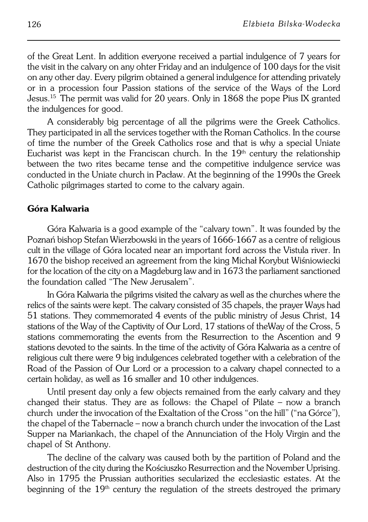of the Great Lent. In addition everyone received a partial indulgence of 7 years for the visit in the calvary on any ohter Friday and an indulgence of 100 days for the visit on any other day. Every pilgrim obtained a general indulgence for attending privately or in a procession four Passion stations of the service of the Ways of the Lord Jesus.15 The permit was valid for 20 years. Only in 1868 the pope Pius IX granted the indulgences for good.

A considerably big percentage of all the pilgrims were the Greek Catholics. They participated in all the services together with the Roman Catholics. In the course of time the number of the Greek Catholics rose and that is why a special Uniate Eucharist was kept in the Franciscan church. In the  $19<sup>th</sup>$  century the relationship between the two rites became tense and the competitive indulgence service was conducted in the Uniate church in Pacław. At the beginning of the 1990s the Greek Catholic pilgrimages started to come to the calvary again.

## **Góra Kalwaria**

Góra Kalwaria is a good example of the "calvary town". It was founded by the Poznań bishop Stefan Wierzbowski in the years of 1666−1667 as a centre of religious cult in the village of Góra located near an important ford across the Vistula river. In 1670 the bishop received an agreement from the king Michał Korybut Wiśniowiecki for the location of the city on a Magdeburg law and in 1673 the parliament sanctioned the foundation called "The New Jerusalem".

In Góra Kalwaria the pilgrims visited the calvary as well as the churches where the relics of the saints were kept. The calvary consisted of 35 chapels, the prayer Ways had 51 stations. They commemorated 4 events of the public ministry of Jesus Christ, 14 stations of the Way of the Captivity of Our Lord, 17 stations of theWay of the Cross, 5 stations commemorating the events from the Resurrection to the Ascention and 9 stations devoted to the saints. In the time of the activity of Góra Kalwaria as a centre of religious cult there were 9 big indulgences celebrated together with a celebration of the Road of the Passion of Our Lord or a procession to a calvary chapel connected to a certain holiday, as well as 16 smaller and 10 other indulgences.

Until present day only a few objects remained from the early calvary and they changed their status. They are as follows: the Chapel of Pilate – now a branch church under the invocation of the Exaltation of the Cross "on the hill" ("na Górce"), the chapel of the Tabernacle – now a branch church under the invocation of the Last Supper na Mariankach, the chapel of the Annunciation of the Holy Virgin and the chapel of St Anthony.

The decline of the calvary was caused both by the partition of Poland and the destruction of the city during the Kościuszko Resurrection and the November Uprising. Also in 1795 the Prussian authorities secularized the ecclesiastic estates. At the beginning of the 19<sup>th</sup> century the regulation of the streets destroyed the primary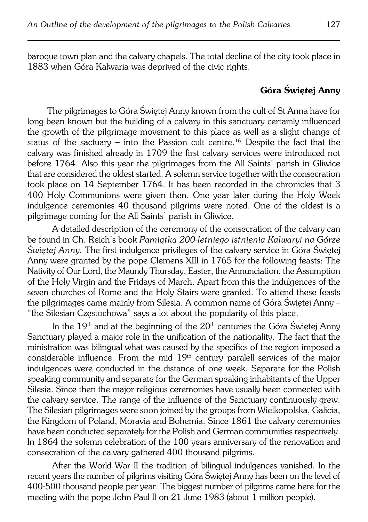baroque town plan and the calvary chapels. The total decline of the city took place in 1883 when Góra Kalwaria was deprived of the civic rights.

## **Góra Świętej Anny**

The pilgrimages to Góra Świętej Anny known from the cult of St Anna have for long been known but the building of a calvary in this sanctuary certainly influenced the growth of the pilgrimage movement to this place as well as a slight change of status of the sactuary – into the Passion cult centre.16 Despite the fact that the calvary was finished already in 1709 the first calvary services were introduced not before 1764. Also this year the pilgrimages from the All Saints' parish in Gliwice that are considered the oldest started. A solemn service together with the consecration took place on 14 September 1764. It has been recorded in the chronicles that 3 400 Holy Communions were given then. One year later during the Holy Week indulgence ceremonies 40 thousand pilgrims were noted. One of the oldest is a pilgrimage coming for the All Saints' parish in Gliwice.

A detailed description of the ceremony of the consecration of the calvary can be found in Ch. Reich's book *Pamiątka 200−letniego istnienia Kalwaryi na Górze Świętej Anny.* The first indulgence privileges of the calvary service in Góra Świętej Anny were granted by the pope Clemens XIII in 1765 for the following feasts: The Nativity of Our Lord, the Maundy Thursday, Easter, the Annunciation, the Assumption of the Holy Virgin and the Fridays of March. Apart from this the indulgences of the seven churches of Rome and the Holy Stairs were granted. To attend these feasts the pilgrimages came mainly from Silesia. A common name of Góra Świętej Anny – "the Silesian Częstochowa" says a lot about the popularity of this place.

In the  $19<sup>th</sup>$  and at the beginning of the  $20<sup>th</sup>$  centuries the Góra Świętej Anny Sanctuary played a major role in the unification of the nationality. The fact that the ministration was bilingual what was caused by the specifics of the region imposed a considerable influence. From the mid 19<sup>th</sup> century paralell services of the major indulgences were conducted in the distance of one week. Separate for the Polish speaking community and separate for the German speaking inhabitants of the Upper Silesia. Since then the major religious ceremonies have usually been connected with the calvary service. The range of the influence of the Sanctuary continuously grew. The Silesian pilgrimages were soon joined by the groups from Wielkopolska, Galicia, the Kingdom of Poland, Moravia and Bohemia. Since 1861 the calvary ceremonies have been conducted separately for the Polish and German communities respectively. In 1864 the solemn celebration of the 100 years anniversary of the renovation and consecration of the calvary gathered 400 thousand pilgrims.

After the World War II the tradition of bilingual indulgences vanished. In the recent years the number of pilgrims visiting Góra Świętej Anny has been on the level of 400−500 thousand people per year. The biggest number of pilgrims came here for the meeting with the pope John Paul II on 21 June 1983 (about 1 million people).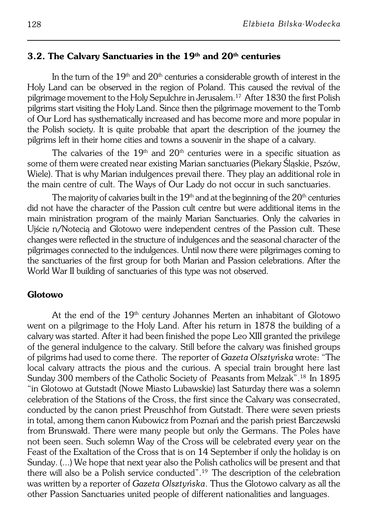#### **3.2. The Calvary Sanctuaries in the 19th and 20th centuries**

In the turn of the  $19<sup>th</sup>$  and  $20<sup>th</sup>$  centuries a considerable growth of interest in the Holy Land can be observed in the region of Poland. This caused the revival of the pilgrimage movement to the Holy Sepulchre in Jerusalem.17 After 1830 the first Polish pilgrims start visiting the Holy Land. Since then the pilgrimage movement to the Tomb of Our Lord has systhematically increased and has become more and more popular in the Polish society. It is quite probable that apart the description of the journey the pilgrims left in their home cities and towns a souvenir in the shape of a calvary.

The calvaries of the  $19<sup>th</sup>$  and  $20<sup>th</sup>$  centuries were in a specific situation as some of them were created near existing Marian sanctuaries (Piekary Śląskie, Pszów, Wiele). That is why Marian indulgences prevail there. They play an additional role in the main centre of cult. The Ways of Our Lady do not occur in such sanctuaries.

The majority of calvaries built in the  $19<sup>th</sup>$  and at the beginning of the  $20<sup>th</sup>$  centuries did not have the character of the Passion cult centre but were additional items in the main ministration program of the mainly Marian Sanctuaries. Only the calvaries in Ujście n/Notecią and Glotowo were independent centres of the Passion cult. These changes were reflected in the structure of indulgences and the seasonal character of the pilgrimages connected to the indulgences. Until now there were pilgrimages coming to the sanctuaries of the first group for both Marian and Passion celebrations. After the World War II building of sanctuaries of this type was not observed.

#### **Glotowo**

At the end of the 19<sup>th</sup> century Johannes Merten an inhabitant of Glotowo went on a pilgrimage to the Holy Land. After his return in 1878 the building of a calvary was started. After it had been finished the pope Leo XIII granted the privilege of the general indulgence to the calvary. Still before the calvary was finished groups of pilgrims had used to come there. The reporter of *Gazeta Olsztyńska* wrote: "The local calvary attracts the pious and the curious. A special train brought here last Sunday 300 members of the Catholic Society of Peasants from Melzak".18 In 1895 "in Glotowo at Gutstadt (Nowe Miasto Lubawskie) last Saturday there was a solemn celebration of the Stations of the Cross, the first since the Calvary was consecrated, conducted by the canon priest Preuschhof from Gutstadt. There were seven priests in total, among them canon Kubowicz from Poznań and the parish priest Barczewski from Brunswałd. There were many people but only the Germans. The Poles have not been seen. Such solemn Way of the Cross will be celebrated every year on the Feast of the Exaltation of the Cross that is on 14 September if only the holiday is on Sunday. (...) We hope that next year also the Polish catholics will be present and that there will also be a Polish service conducted".19 The description of the celebration was written by a reporter of *Gazeta Olsztyńska*. Thus the Glotowo calvary as all the other Passion Sanctuaries united people of different nationalities and languages.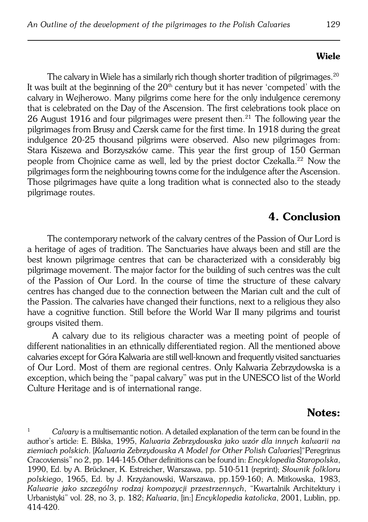#### **Wiele**

The calvary in Wiele has a similarly rich though shorter tradition of pilgrimages.<sup>20</sup> It was built at the beginning of the  $20<sup>th</sup>$  century but it has never 'competed' with the calvary in Wejherowo. Many pilgrims come here for the only indulgence ceremony that is celebrated on the Day of the Ascension. The first celebrations took place on 26 August 1916 and four pilgrimages were present then.21 The following year the pilgrimages from Brusy and Czersk came for the first time. In 1918 during the great indulgence 20−25 thousand pilgrims were observed. Also new pilgrimages from: Stara Kiszewa and Borzyszków came. This year the first group of 150 German people from Choinice came as well, led by the priest doctor Czekalla.<sup>22</sup> Now the pilgrimages form the neighbouring towns come for the indulgence after the Ascension. Those pilgrimages have quite a long tradition what is connected also to the steady pilgrimage routes.

# **4. Conclusion**

The contemporary network of the calvary centres of the Passion of Our Lord is a heritage of ages of tradition. The Sanctuaries have always been and still are the best known pilgrimage centres that can be characterized with a considerably big pilgrimage movement. The major factor for the building of such centres was the cult of the Passion of Our Lord. In the course of time the structure of these calvary centres has changed due to the connection between the Marian cult and the cult of the Passion. The calvaries have changed their functions, next to a religious they also have a cognitive function. Still before the World War II many pilgrims and tourist groups visited them.

A calvary due to its religious character was a meeting point of people of different nationalities in an ethnically differentiated region. All the mentioned above calvaries except for Góra Kalwaria are still well−known and frequently visited sanctuaries of Our Lord. Most of them are regional centres. Only Kalwaria Zebrzydowska is a exception, which being the "papal calvary" was put in the UNESCO list of the World Culture Heritage and is of international range.

## **Notes:**

<sup>1</sup> *Calvary* is a multisemantic notion. A detailed explanation of the term can be found in the author's article: E. Bilska, 1995, *Kalwaria Zebrzydowska jako wzór dla innych kalwarii na ziemiach polskich*. [*Kalwaria Zebrzydowska A Model for Other Polish Calvaries*]"Peregrinus Cracoviensis" no 2, pp. 144−145.Other definitions can be found in: *Encyklopedia Staropolska*, 1990, Ed. by A. Brückner, K. Estreicher, Warszawa, pp. 510−511 (reprint); *Słownik folkloru polskiego*, 1965, Ed. by J. Krzyżanowski, Warszawa, pp.159−160; A.Mitkowska, 1983, *Kalwarie jako szczególny rodzaj kompozycji przestrzennych*, "Kwartalnik Architektury i Urbanistyki" vol. 28, no 3, p. 182; *Kalwaria*, [in:] *Encyklopedia katolicka*, 2001, Lublin, pp. 414−420.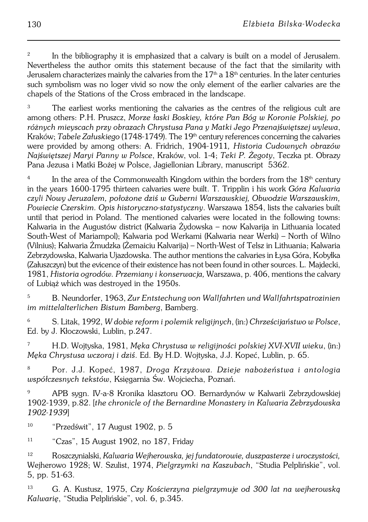2 In the bibliography it is emphasized that a calvary is built on a model of Jerusalem. Nevertheless the author omits this statement because of the fact that the similarity with Jerusalem characterizes mainly the calvaries from the  $17<sup>th</sup>$  a  $18<sup>th</sup>$  centuries. In the later centuries such symbolism was no loger vivid so now the only element of the earlier calvaries are the chapels of the Stations of the Cross embraced in the landscape.

The earliest works mentioning the calvaries as the centres of the religious cult are among others: P.H. Pruszcz, *Morze łaski Boskiey, które Pan Bóg w Koronie Polskiej, po różnych mieyscach przy obrazach Chrystusa Pana y Matki Jego Przenajświętszej wylewa*, Kraków; *Tabele Załuskiego* (1748−1749). The 19th century references concerning the calvaries were provided by among others: A. Fridrich, 1904−1911*, Historia Cudownych obrazów Najświętszej Maryi Panny wPolsce*, Kraków, vol. 1−4; *Teki P. Żegoty*, Teczka pt. Obrazy Pana Jezusa i Matki Bożej w Polsce, Jagiellonian Library, manuscript 5362.

4 In the area of the Commonwealth Kingdom within the borders from the  $18<sup>th</sup>$  century in the years 1600−1795 thirteen calvaries were built. T. Tripplin i his work *Góra Kalwaria czyli Nowy Jeruzalem, położone dziś w Guberni Warszawskiej, Obwodzie Warszawskim, Powiecie Czerskim. Opis historyczno−statystyczny*. Warszawa 1854, lists the calvaries built until that period in Poland. The mentioned calvaries were located in the following towns: Kalwaria in the Augustów district (Kalwaria Żydowska – now Kalvarija in Lithuania located South−West of Mariampol); Kalwaria pod Werkami (Kalwaria near Werki) – North of Wilno (Vilnius); Kalwaria Żmudzka (Żemaiciu Kalvarija) – North−West of Telsz in Lithuania; Kalwaria Zebrzydowska, Kalwaria Ujazdowska. The author mentions the calvaries in Łysa Góra, Kobyłka (Załuszczyn) but the evicence of their existence has not been found in other sources. L.Majdecki, 1981, *Historia ogrodów. Przemiany i konserwacja,* Warszawa, p. 406, mentions the calvary of Lubiąż which was destroyed in the 1950s.

<sup>5</sup> B. Neundorfer, 1963, *Zur Entstechung von Wallfahrten und Wallfahrtspatrozinien im mittelalterlichen Bistum Bamberg*, Bamberg.

<sup>6</sup> S. Litak, 1992, *W dobie reform i polemik religijnych*, (in:) *Chrześcijaństwo w Polsce*, Ed. by J. Kłoczowski, Lublin, p.247.

<sup>7</sup> H.D. Wojtyska, 1981, *Męka Chrystusa w religijności polskiej XVI−XVII wieku*, (in:) *Męka Chrystusa wczoraj i dziś*. Ed. By H.D. Wojtyska, J.J. Kopeć, Lublin, p. 65.

<sup>8</sup> Por. J.J. Kopeć, 1987, *Droga Krzyżowa. Dzieje nabożeństwa i antologia współczesnych tekstów*, Księgarnia Św. Wojciecha, Poznań.

<sup>9</sup> APB sygn. IV−a−8 Kronika klasztoru OO. Bernardynów w Kalwarii Zebrzydowskiej 1902−1939, p.82. [*the chronicle of the Bernardine Monastery in Kalwaria Zebrzydowska 1902−1939*]

<sup>10</sup> "Przedświt", 17 August 1902, p. 5

<sup>11</sup> "Czas", 15 August 1902, no 187, Friday

<sup>12</sup> Roszczynialski, *Kalwaria Wejherowska, jej fundatorowie, duszpasterze i uroczystości,* Wejherowo 1928; W. Szulist, 1974, *Pielgrzymki na Kaszubach*, "Studia Pelplińskie", vol. 5, pp. 51−63.

<sup>13</sup> G. A. Kustusz, 1975, *Czy Kościerzyna pielgrzymuje od 300 lat na wejherowską Kalwarię*, "Studia Pelplińskie", vol. 6, p.345.